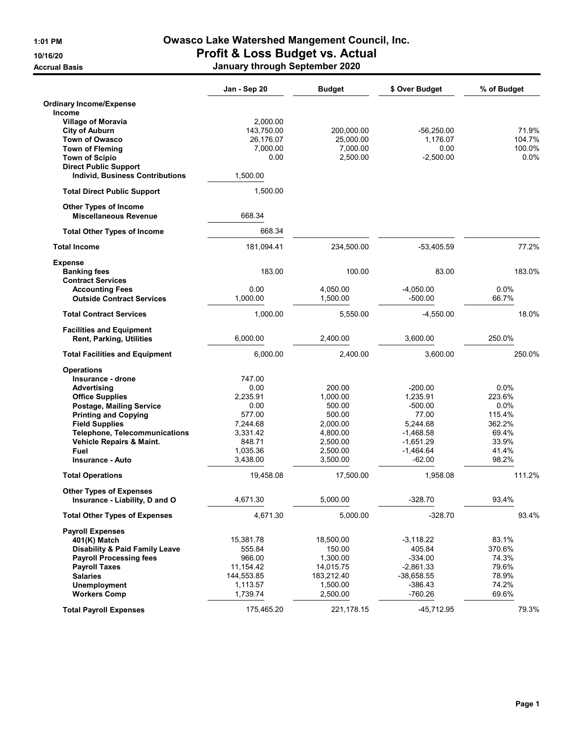## 1:01 PM Owasco Lake Watershed Mangement Council, Inc. 10/16/20 Profit & Loss Budget vs. Actual

| <b>Accrual Basis</b> | January through September 2020 |
|----------------------|--------------------------------|
|                      |                                |

|                                                                        | Jan - Sep 20         | <b>Budget</b>        | \$ Over Budget          | % of Budget    |
|------------------------------------------------------------------------|----------------------|----------------------|-------------------------|----------------|
| <b>Ordinary Income/Expense</b>                                         |                      |                      |                         |                |
| <b>Income</b>                                                          |                      |                      |                         |                |
| <b>Village of Moravia</b>                                              | 2,000.00             |                      |                         |                |
| <b>City of Auburn</b>                                                  | 143,750.00           | 200,000.00           | $-56,250.00$            | 71.9%          |
| Town of Owasco                                                         | 26,176.07            | 25.000.00            | 1.176.07                | 104.7%         |
| <b>Town of Fleming</b>                                                 | 7,000.00             | 7,000.00             | 0.00                    | 100.0%         |
| <b>Town of Scipio</b>                                                  | 0.00                 | 2,500.00             | $-2,500.00$             | 0.0%           |
| <b>Direct Public Support</b><br><b>Individ, Business Contributions</b> | 1,500.00             |                      |                         |                |
| <b>Total Direct Public Support</b>                                     | 1,500.00             |                      |                         |                |
| <b>Other Types of Income</b><br><b>Miscellaneous Revenue</b>           | 668.34               |                      |                         |                |
| <b>Total Other Types of Income</b>                                     | 668.34               |                      |                         |                |
| <b>Total Income</b>                                                    | 181,094.41           | 234,500.00           | $-53,405.59$            | 77.2%          |
| <b>Expense</b>                                                         |                      |                      |                         |                |
| <b>Banking fees</b>                                                    | 183.00               | 100.00               | 83.00                   | 183.0%         |
| <b>Contract Services</b>                                               |                      |                      |                         |                |
| <b>Accounting Fees</b>                                                 | 0.00                 | 4,050.00             | $-4.050.00$             | 0.0%           |
| <b>Outside Contract Services</b>                                       | 1,000.00             | 1,500.00             | $-500.00$               | 66.7%          |
| <b>Total Contract Services</b>                                         | 1,000.00             | 5,550.00             | $-4.550.00$             | 18.0%          |
| <b>Facilities and Equipment</b>                                        |                      |                      |                         |                |
| Rent, Parking, Utilities                                               | 6,000.00             | 2,400.00             | 3.600.00                | 250.0%         |
| <b>Total Facilities and Equipment</b>                                  | 6,000.00             | 2,400.00             | 3,600.00                | 250.0%         |
| <b>Operations</b>                                                      |                      |                      |                         |                |
| Insurance - drone                                                      | 747.00               |                      |                         |                |
| Advertising                                                            | 0.00                 | 200.00               | $-200.00$               | 0.0%           |
| <b>Office Supplies</b>                                                 | 2,235.91             | 1,000.00             | 1,235.91                | 223.6%         |
| Postage, Mailing Service                                               | 0.00                 | 500.00               | $-500.00$               | $0.0\%$        |
| <b>Printing and Copying</b>                                            | 577.00               | 500.00               | 77.00                   | 115.4%         |
| <b>Field Supplies</b>                                                  | 7,244.68             | 2,000.00             | 5,244.68                | 362.2%         |
| <b>Telephone, Telecommunications</b>                                   | 3,331.42             | 4,800.00             | $-1,468.58$             | 69.4%          |
| Vehicle Repairs & Maint.                                               | 848.71               | 2,500.00             | $-1,651.29$             | 33.9%          |
| Fuel<br><b>Insurance - Auto</b>                                        | 1,035.36<br>3,438.00 | 2,500.00<br>3,500.00 | $-1,464.64$<br>$-62.00$ | 41.4%<br>98.2% |
| <b>Total Operations</b>                                                | 19,458.08            | 17,500.00            | 1,958.08                | 111.2%         |
|                                                                        |                      |                      |                         |                |
| <b>Other Types of Expenses</b><br>Insurance - Liability, D and O       | 4,671.30             | 5,000.00             | -328.70                 | 93.4%          |
| <b>Total Other Types of Expenses</b>                                   | 4,671.30             | 5,000.00             | $-328.70$               | 93.4%          |
| <b>Payroll Expenses</b>                                                |                      |                      |                         |                |
| 401(K) Match                                                           | 15,381.78            | 18,500.00            | $-3,118.22$             | 83.1%          |
| <b>Disability &amp; Paid Family Leave</b>                              | 555.84               | 150.00               | 405.84                  | 370.6%         |
| <b>Payroll Processing fees</b>                                         | 966.00               | 1,300.00             | $-334.00$               | 74.3%          |
| <b>Payroll Taxes</b>                                                   | 11,154.42            | 14,015.75            | $-2,861.33$             | 79.6%          |
| <b>Salaries</b>                                                        | 144,553.85           | 183,212.40           | $-38,658.55$            | 78.9%          |
| Unemployment                                                           | 1,113.57             | 1,500.00             | $-386.43$               | 74.2%          |
| <b>Workers Comp</b>                                                    | 1,739.74             | 2,500.00             | $-760.26$               | 69.6%          |
| <b>Total Payroll Expenses</b>                                          | 175,465.20           | 221,178.15           | $-45,712.95$            | 79.3%          |